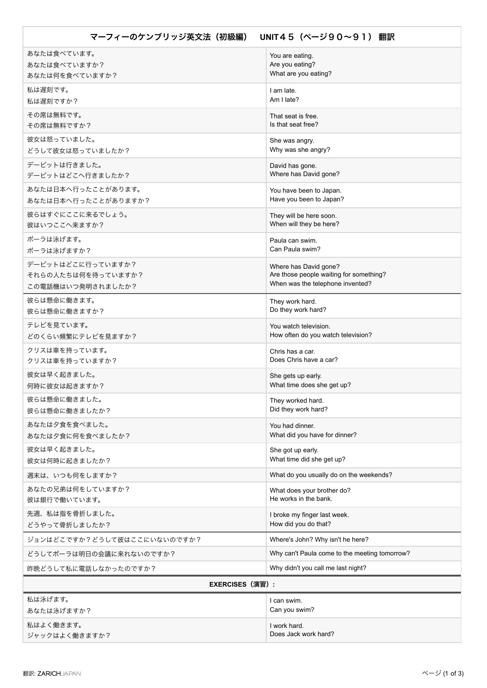| UNIT45 (ページ90~91) 翻訳<br>マーフィーのケンブリッジ英文法(初級編) |                                                                             |
|----------------------------------------------|-----------------------------------------------------------------------------|
| あなたは食べています。                                  | You are eating.                                                             |
| あなたは食べていますか?<br>あなたは何を食べていますか?               | Are you eating?<br>What are you eating?                                     |
| 私は遅刻です。                                      | I am late.                                                                  |
| 私は遅刻ですか?                                     | Am I late?                                                                  |
| その席は無料です。                                    | That seat is free.                                                          |
| その席は無料ですか?                                   | Is that seat free?                                                          |
| 彼女は怒っていました。                                  | She was angry.<br>Why was she angry?                                        |
| どうして彼女は怒っていましたか?<br>デービットは行きました。             |                                                                             |
| デービットはどこへ行きましたか?                             | David has gone.<br>Where has David gone?                                    |
| あなたは日本へ行ったことがあります。                           | You have been to Japan.                                                     |
| あなたは日本へ行ったことがありますか?                          | Have you been to Japan?                                                     |
| 彼らはすぐにここに来るでしょう。<br>彼はいつここへ来ますか?             | They will be here soon.<br>When will they be here?                          |
| ポーラは泳げます。                                    | Paula can swim.                                                             |
| ポーラは泳げますか?                                   | Can Paula swim?                                                             |
| デービットはどこに行っていますか?                            | Where has David gone?                                                       |
| それらの人たちは何を待っていますか?                           | Are those people waiting for something?<br>When was the telephone invented? |
| この電話機はいつ発明されましたか?                            |                                                                             |
| 彼らは懸命に働きます。<br>彼らは懸命に働きますか?                  | They work hard.<br>Do they work hard?                                       |
| テレビを見ています。                                   | You watch television.                                                       |
| どのくらい頻繁にテレビを見ますか?                            | How often do you watch television?                                          |
| クリスは車を持っています。<br>クリスは車を持っていますか?              | Chris has a car.<br>Does Chris have a car?                                  |
| 彼女は早く起きました。                                  | She gets up early.                                                          |
| 何時に彼女は起きますか?                                 | What time does she get up?                                                  |
| 彼らは懸命に働きました。                                 | They worked hard.                                                           |
| 彼らは懸命に働きましたか?                                | Did they work hard?                                                         |
| あなたは夕食を食べました。<br>あなたは夕食に何を食べましたか?            | You had dinner.<br>What did you have for dinner?                            |
| 彼女は早く起きました。                                  | She got up early.                                                           |
| 彼女は何時に起きましたか?                                | What time did she get up?                                                   |
| 週末は、いつも何をしますか?                               | What do you usually do on the weekends?                                     |
| あなたの兄弟は何をしていますか?<br>彼は銀行で働いています。             | What does your brother do?<br>He works in the bank.                         |
| 先週、私は指を骨折しました。                               | I broke my finger last week.                                                |
| どうやって骨折しましたか?                                | How did you do that?                                                        |
| ジョンはどこですか?どうして彼はここにいないのですか?                  | Where's John? Why isn't he here?                                            |
| どうしてポーラは明日の会議に来れないのですか?                      | Why can't Paula come to the meeting tomorrow?                               |
| 昨晩どうして私に電話しなかったのですか?                         | Why didn't you call me last night?                                          |
| <b>EXERCISES (演習):</b>                       |                                                                             |
| 私は泳げます。                                      | I can swim.                                                                 |
| あなたは泳げますか?                                   | Can you swim?                                                               |
| 私はよく働きます。                                    | I work hard.                                                                |
| ジャックはよく働きますか?                                | Does Jack work hard?                                                        |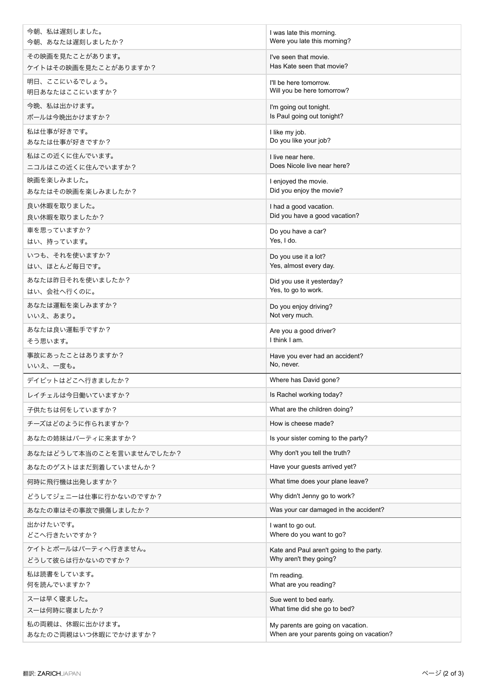| 今朝、私は遅刻しました。             | I was late this morning.                 |
|--------------------------|------------------------------------------|
| 今朝、あなたは遅刻しましたか?          | Were you late this morning?              |
| その映画を見たことがあります。          | I've seen that movie.                    |
| ケイトはその映画を見たことがありますか?     | Has Kate seen that movie?                |
| 明日、ここにいるでしょう。            | I'll be here tomorrow.                   |
| 明日あなたはここにいますか?           | Will you be here tomorrow?               |
| 今晩、私は出かけます。              | I'm going out tonight.                   |
| ポールは今晩出かけますか?            | Is Paul going out tonight?               |
| 私は仕事が好きです。               | I like my job.                           |
| あなたは仕事が好きですか?            | Do you like your job?                    |
| 私はこの近くに住んでいます。           | I live near here.                        |
| ニコルはこの近くに住んでいますか?        | Does Nicole live near here?              |
| 映画を楽しみました。               | I enjoyed the movie.                     |
| あなたはその映画を楽しみましたか?        | Did you enjoy the movie?                 |
| 良い休暇を取りました。              | I had a good vacation.                   |
| 良い休暇を取りましたか?             | Did you have a good vacation?            |
| 車を思っていますか?               | Do you have a car?                       |
| はい、持っています。               | Yes, I do.                               |
| いつも、それを使いますか?            | Do you use it a lot?                     |
| はい、ほとんど毎日です。             | Yes, almost every day.                   |
| あなたは昨日それを使いましたか?         | Did you use it yesterday?                |
| はい、会社へ行くのに。              | Yes, to go to work.                      |
| あなたは運転を楽しみますか?           | Do you enjoy driving?                    |
| いいえ、あまり。                 | Not very much.                           |
| あなたは良い運転手ですか?            | Are you a good driver?                   |
| そう思います。                  | I think I am.                            |
| 事故にあったことはありますか?          | Have you ever had an accident?           |
| いいえ、一度も。                 | No, never.                               |
| デイビットはどこへ行きましたか?         | Where has David gone?                    |
| レイチェルは今日働いていますか?         | Is Rachel working today?                 |
| 子供たちは何をしていますか?           | What are the children doing?             |
| チーズはどのように作られますか?         | How is cheese made?                      |
| あなたの姉妹はパーティに来ますか?        | Is your sister coming to the party?      |
| あなたはどうして本当のことを言いませんでしたか? | Why don't you tell the truth?            |
| あなたのゲストはまだ到着していませんか?     | Have your guests arrived yet?            |
| 何時に飛行機は出発しますか?           | What time does your plane leave?         |
| どうしてジェニーは仕事に行かないのですか?    | Why didn't Jenny go to work?             |
| あなたの車はその事故で損傷しましたか?      | Was your car damaged in the accident?    |
| 出かけたいです。                 | I want to go out.                        |
| どこへ行きたいですか?              | Where do you want to go?                 |
| ケイトとポールはパーティへ行きません。      | Kate and Paul aren't going to the party. |
| どうして彼らは行かないのですか?         | Why aren't they going?                   |
| 私は読書をしています。              | I'm reading.                             |
| 何を読んでいますか?               | What are you reading?                    |
| スーは早く寝ました。               | Sue went to bed early.                   |
| スーは何時に寝ましたか?             | What time did she go to bed?             |
| 私の両親は、休暇に出かけます。          | My parents are going on vacation.        |
| あなたのご両親はいつ休暇にでかけますか?     | When are your parents going on vacation? |